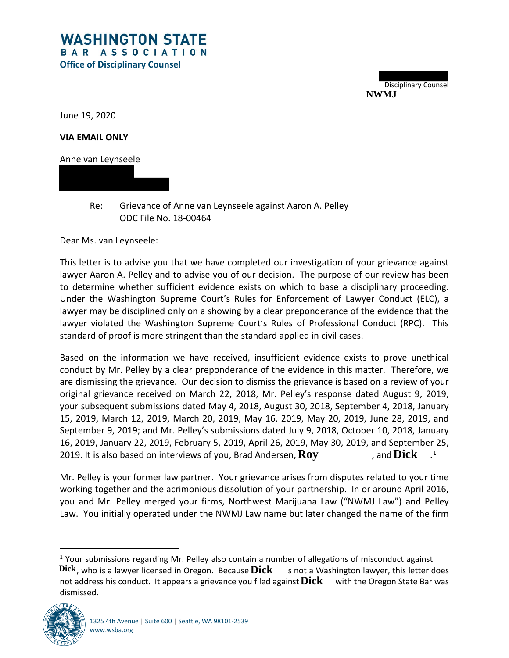Disciplinary Counsel **NWMJ**

June 19, 2020

**VIA EMAIL ONLY**

Anne van Leynseele

Re: Grievance of Anne van Leynseele against Aaron A. Pelley ODC File No. 18-00464

Dear Ms. van Leynseele:

This letter is to advise you that we have completed our investigation of your grievance against lawyer Aaron A. Pelley and to advise you of our decision. The purpose of our review has been to determine whether sufficient evidence exists on which to base a disciplinary proceeding. Under the Washington Supreme Court's Rules for Enforcement of Lawyer Conduct (ELC), a lawyer may be disciplined only on a showing by a clear preponderance of the evidence that the lawyer violated the Washington Supreme Court's Rules of Professional Conduct (RPC). This standard of proof is more stringent than the standard applied in civil cases.

Based on the information we have received, insufficient evidence exists to prove unethical conduct by Mr. Pelley by a clear preponderance of the evidence in this matter. Therefore, we are dismissing the grievance. Our decision to dismiss the grievance is based on a review of your original grievance received on March 22, 2018, Mr. Pelley's response dated August 9, 2019, your subsequent submissions dated May 4, 2018, August 30, 2018, September 4, 2018, January 15, 2019, March 12, 2019, March 20, 2019, May 16, 2019, May 20, 2019, June 28, 2019, and September 9, 2019; and Mr. Pelley's submissions dated July 9, 2018, October 10, 2018, January 16, 2019, January 22, 2019, February 5, 2019, April 26, 2019, May 30, 2019, and September 25, 2019. It is also based on interviews of you, Brad Andersen,  $\text{Roy}$  and  $\text{Dick}$  .<sup>1</sup> **Roy Dick**

Mr. Pelley is your former law partner. Your grievance arises from disputes related to your time working together and the acrimonious dissolution of your partnership. In or around April 2016, you and Mr. Pelley merged your firms, Northwest Marijuana Law ("NWMJ Law") and Pelley Law. You initially operated under the NWMJ Law name but later changed the name of the firm

 $\overline{a}$ <sup>1</sup> Your submissions regarding Mr. Pelley also contain a number of allegations of misconduct against  $\bf{Pick}$  , who is a lawyer licensed in Oregon. Because  $\bf{ Dick}$  is not a Washington lawyer, this letter does not address his conduct. It appears a grievance you filed against  $\text{Dick}$  with the Oregon State Bar was dismissed.

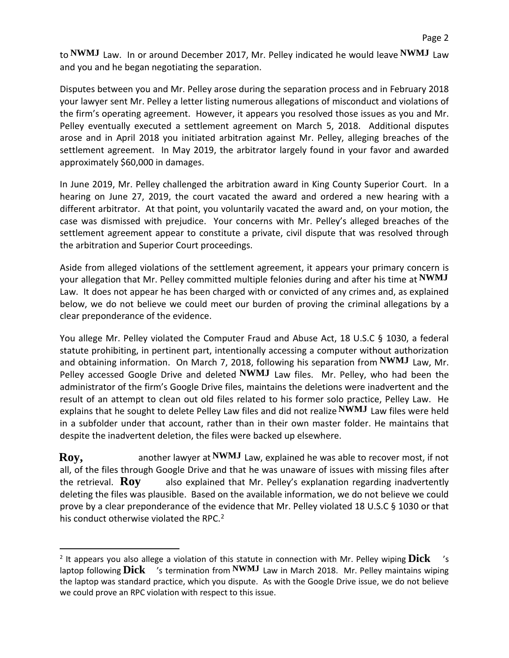to NWMJ Law. In or around December 2017, Mr. Pelley indicated he would leave NWMJ Law and you and he began negotiating the separation.

Disputes between you and Mr. Pelley arose during the separation process and in February 2018 your lawyer sent Mr. Pelley a letter listing numerous allegations of misconduct and violations of the firm's operating agreement. However, it appears you resolved those issues as you and Mr. Pelley eventually executed a settlement agreement on March 5, 2018. Additional disputes arose and in April 2018 you initiated arbitration against Mr. Pelley, alleging breaches of the settlement agreement. In May 2019, the arbitrator largely found in your favor and awarded approximately \$60,000 in damages.

In June 2019, Mr. Pelley challenged the arbitration award in King County Superior Court. In a hearing on June 27, 2019, the court vacated the award and ordered a new hearing with a different arbitrator. At that point, you voluntarily vacated the award and, on your motion, the case was dismissed with prejudice. Your concerns with Mr. Pelley's alleged breaches of the settlement agreement appear to constitute a private, civil dispute that was resolved through the arbitration and Superior Court proceedings.

Aside from alleged violations of the settlement agreement, it appears your primary concern is your allegation that Mr. Pelley committed multiple felonies during and after his time at NWMJ Law. It does not appear he has been charged with or convicted of any crimes and, as explained below, we do not believe we could meet our burden of proving the criminal allegations by a clear preponderance of the evidence.

You allege Mr. Pelley violated the Computer Fraud and Abuse Act, 18 U.S.C § 1030, a federal statute prohibiting, in pertinent part, intentionally accessing a computer without authorization and obtaining information. On March 7, 2018, following his separation from  $\overline{\text{NWMJ}}$  Law, Mr. Pelley accessed Google Drive and deleted NWMJ Law files. Mr. Pelley, who had been the administrator of the firm's Google Drive files, maintains the deletions were inadvertent and the result of an attempt to clean out old files related to his former solo practice, Pelley Law. He explains that he sought to delete Pelley Law files and did not realize NWMJ Law files were held in a subfolder under that account, rather than in their own master folder. He maintains that despite the inadvertent deletion, the files were backed up elsewhere. **EXAMB** Law. In or around December 2017, Ar. Pelley indicated he would leave NWMJ Law. Here retirevel, and the separation process and in February 2018 public spaces by the separation process and in February 2018 public spa

another lawyer at  $\overline{\text{NWMJ}}$  Law, explained he was able to recover most, if not all, of the files through Google Drive and that he was unaware of issues with missing files after also explained that Mr. Pelley's explanation regarding inadvertently deleting the files was plausible. Based on the available information, we do not believe we could prove by a clear preponderance of the evidence that Mr. Pelley violated 18 U.S.C § 1030 or that his conduct otherwise violated the RPC.<sup>2</sup> **Roy,** the retrieval. **Roy** 

 $\overline{a}$ 

 $^2$  It appears you also allege a violation of this statute in connection with Mr. Pelley wiping  $\text{Dick}$  is laptop following  $\text{Dick}$  's termination from NWMJ Law in March 2018. Mr. Pelley maintains wiping the laptop was standard practice, which you dispute. As with the Google Drive issue, we do not believe we could prove an RPC violation with respect to this issue.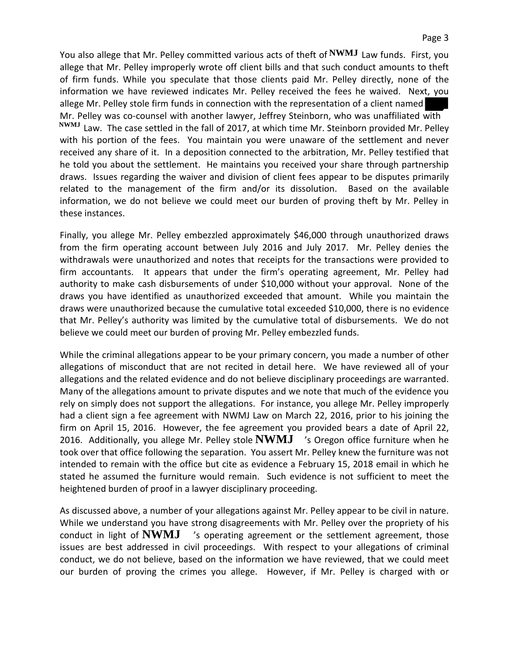You also allege that Mr. Pelley committed various acts of theft of NWMJ Law funds. First, you allege that Mr. Pelley improperly wrote off client bills and that such conduct amounts to theft of firm funds. While you speculate that those clients paid Mr. Pelley directly, none of the information we have reviewed indicates Mr. Pelley received the fees he waived. Next, you allege Mr. Pelley stole firm funds in connection with the representation of a client named Mr. Pelley was co-counsel with another lawyer, Jeffrey Steinborn, who was unaffiliated with N<sup>WMJ</sup> Law. The case settled in the fall of 2017, at which time Mr. Steinborn provided Mr. Pelley with his portion of the fees. You maintain you were unaware of the settlement and never received any share of it. In a deposition connected to the arbitration, Mr. Pelley testified that he told you about the settlement. He maintains you received your share through partnership draws. Issues regarding the waiver and division of client fees appear to be disputes primarily related to the management of the firm and/or its dissolution. Based on the available information, we do not believe we could meet our burden of proving theft by Mr. Pelley in these instances.

Finally, you allege Mr. Pelley embezzled approximately \$46,000 through unauthorized draws from the firm operating account between July 2016 and July 2017. Mr. Pelley denies the withdrawals were unauthorized and notes that receipts for the transactions were provided to firm accountants. It appears that under the firm's operating agreement, Mr. Pelley had authority to make cash disbursements of under \$10,000 without your approval. None of the draws you have identified as unauthorized exceeded that amount. While you maintain the draws were unauthorized because the cumulative total exceeded \$10,000, there is no evidence that Mr. Pelley's authority was limited by the cumulative total of disbursements. We do not believe we could meet our burden of proving Mr. Pelley embezzled funds.

While the criminal allegations appear to be your primary concern, you made a number of other allegations of misconduct that are not recited in detail here. We have reviewed all of your allegations and the related evidence and do not believe disciplinary proceedings are warranted. Many of the allegations amount to private disputes and we note that much of the evidence you rely on simply does not support the allegations. For instance, you allege Mr. Pelley improperly had a client sign a fee agreement with NWMJ Law on March 22, 2016, prior to his joining the firm on April 15, 2016. However, the fee agreement you provided bears a date of April 22, 2016. Additionally, you allege Mr. Pelley stole **NWMJ** 's Oregon office furniture when he took over that office following the separation. You assert Mr. Pelley knew the furniture was not intended to remain with the office but cite as evidence a February 15, 2018 email in which he stated he assumed the furniture would remain. Such evidence is not sufficient to meet the heightened burden of proof in a lawyer disciplinary proceeding.

As discussed above, a number of your allegations against Mr. Pelley appear to be civil in nature. While we understand you have strong disagreements with Mr. Pelley over the propriety of his conduct in light of  $\bf{NWMJ}$   $\rightarrow$  s operating agreement or the settlement agreement, those issues are best addressed in civil proceedings. With respect to your allegations of criminal conduct, we do not believe, based on the information we have reviewed, that we could meet our burden of proving the crimes you allege. However, if Mr. Pelley is charged with or